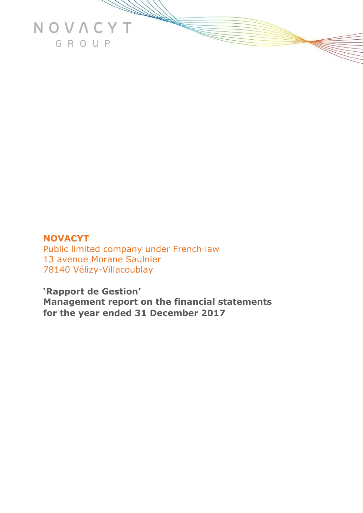

# **NOVACYT**  Public limited company under French law 13 avenue Morane Saulnier 78140 Vélizy-Villacoublay

**'Rapport de Gestion' Management report on the financial statements for the year ended 31 December 2017**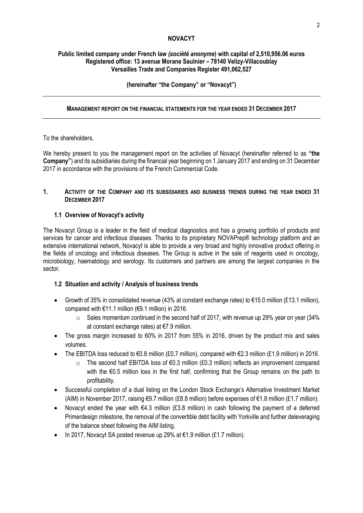#### **NOVACYT**

#### **Public limited company under French law** *(société anonyme***) with capital of 2,510,956.06 euros Registered office: 13 avenue Morane Saulnier – 78140 Velizy-Villacoublay Versailles Trade and Companies Register 491,062,527**

# **(hereinafter "the Company" or "Novacyt")**

# **MANAGEMENT REPORT ON THE FINANCIAL STATEMENTS FOR THE YEAR ENDED 31 DECEMBER 2017**

#### To the shareholders,

We hereby present to you the management report on the activities of Novacyt (hereinafter referred to as **"the Company"**) and its subsidiaries during the financial year beginning on 1 January 2017 and ending on 31 December 2017 in accordance with the provisions of the French Commercial Code.

#### **1. ACTIVITY OF THE COMPANY AND ITS SUBSIDIARIES AND BUSINESS TRENDS DURING THE YEAR ENDED 31 DECEMBER 2017**

#### **1.1 Overview of Novacyt's activity**

The Novacyt Group is a leader in the field of medical diagnostics and has a growing portfolio of products and services for cancer and infectious diseases. Thanks to its proprietary NOVAPrep® technology platform and an extensive international network, Novacyt is able to provide a very broad and highly innovative product offering in the fields of oncology and infectious diseases. The Group is active in the sale of reagents used in oncology, microbiology, haematology and serology. Its customers and partners are among the largest companies in the sector.

# **1.2 Situation and activity / Analysis of business trends**

- Growth of 35% in consolidated revenue (43% at constant exchange rates) to €15.0 million (£13.1 million), compared with  $€11.1$  million ( $€9.1$  million) in 2016.
	- $\circ$  Sales momentum continued in the second half of 2017, with revenue up 29% year on year (34% at constant exchange rates) at €7.9 million.
- The gross margin increased to 60% in 2017 from 55% in 2016, driven by the product mix and sales volumes.
- The EBITDA loss reduced to €0.8 million (£0.7 million), compared with €2.3 million (£1.9 million) in 2016.
	- o The second half EBITDA loss of €0.3 million (£0.3 million) reflects an improvement compared with the €0.5 million loss in the first half, confirming that the Group remains on the path to profitability.
- Successful completion of a dual listing on the London Stock Exchange's Alternative Investment Market (AIM) in November 2017, raising €9.7 million (£8.8 million) before expenses of €1.8 million (£1.7 million).
- Novacyt ended the year with €4.3 million (£3.8 million) in cash following the payment of a deferred Primerdesign milestone, the removal of the convertible debt facility with Yorkville and further deleveraging of the balance sheet following the AIM listing.
- In 2017, Novacyt SA posted revenue up 29% at  $\epsilon$ 1.9 million (£1.7 million).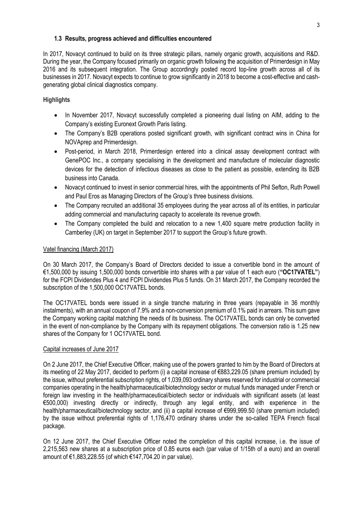#### **1.3 Results, progress achieved and difficulties encountered**

In 2017, Novacyt continued to build on its three strategic pillars, namely organic growth, acquisitions and R&D. During the year, the Company focused primarily on organic growth following the acquisition of Primerdesign in May 2016 and its subsequent integration. The Group accordingly posted record top-line growth across all of its businesses in 2017. Novacyt expects to continue to grow significantly in 2018 to become a cost-effective and cashgenerating global clinical diagnostics company.

# **Highlights**

- In November 2017, Novacyt successfully completed a pioneering dual listing on AIM, adding to the Company's existing Euronext Growth Paris listing.
- The Company's B2B operations posted significant growth, with significant contract wins in China for NOVAprep and Primerdesign.
- Post-period, in March 2018, Primerdesign entered into a clinical assay development contract with GenePOC Inc., a company specialising in the development and manufacture of molecular diagnostic devices for the detection of infectious diseases as close to the patient as possible, extending its B2B business into Canada.
- Novacyt continued to invest in senior commercial hires, with the appointments of Phil Sefton, Ruth Powell and Paul Eros as Managing Directors of the Group's three business divisions.
- The Company recruited an additional 35 employees during the year across all of its entities, in particular adding commercial and manufacturing capacity to accelerate its revenue growth.
- The Company completed the build and relocation to a new 1,400 square metre production facility in Camberley (UK) on target in September 2017 to support the Group's future growth.

# Vatel financing (March 2017)

On 30 March 2017, the Company's Board of Directors decided to issue a convertible bond in the amount of €1,500,000 by issuing 1,500,000 bonds convertible into shares with a par value of 1 each euro (**"OC17VATEL"**) for the FCPI Dividendes Plus 4 and FCPI Dividendes Plus 5 funds. On 31 March 2017, the Company recorded the subscription of the 1,500,000 OC17VATEL bonds.

The OC17VATEL bonds were issued in a single tranche maturing in three years (repayable in 36 monthly instalments), with an annual coupon of 7.9% and a non-conversion premium of 0.1% paid in arrears. This sum gave the Company working capital matching the needs of its business. The OC17VATEL bonds can only be converted in the event of non-compliance by the Company with its repayment obligations. The conversion ratio is 1.25 new shares of the Company for 1 OC17VATEL bond.

#### Capital increases of June 2017

On 2 June 2017, the Chief Executive Officer, making use of the powers granted to him by the Board of Directors at its meeting of 22 May 2017, decided to perform (i) a capital increase of €883,229.05 (share premium included) by the issue, without preferential subscription rights, of 1,039,093 ordinary shares reserved for industrial or commercial companies operating in the health/pharmaceutical/biotechnology sector or mutual funds managed under French or foreign law investing in the health/pharmaceutical/biotech sector or individuals with significant assets (at least €500,000) investing directly or indirectly, through any legal entity, and with experience in the health/pharmaceutical/biotechnology sector, and (ii) a capital increase of €999,999.50 (share premium included) by the issue without preferential rights of 1,176,470 ordinary shares under the so-called TEPA French fiscal package.

On 12 June 2017, the Chief Executive Officer noted the completion of this capital increase, i.e. the issue of 2,215,563 new shares at a subscription price of 0.85 euros each (par value of 1/15th of a euro) and an overall amount of €1,883,228.55 (of which €147,704.20 in par value).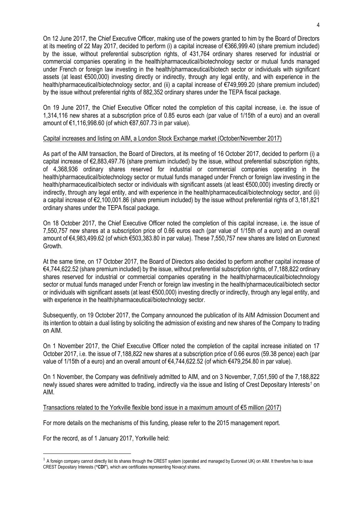On 12 June 2017, the Chief Executive Officer, making use of the powers granted to him by the Board of Directors at its meeting of 22 May 2017, decided to perform (i) a capital increase of €366,999.40 (share premium included) by the issue, without preferential subscription rights, of 431,764 ordinary shares reserved for industrial or commercial companies operating in the health/pharmaceutical/biotechnology sector or mutual funds managed under French or foreign law investing in the health/pharmaceutical/biotech sector or individuals with significant assets (at least €500,000) investing directly or indirectly, through any legal entity, and with experience in the health/pharmaceutical/biotechnology sector, and (ii) a capital increase of €749,999.20 (share premium included) by the issue without preferential rights of 882,352 ordinary shares under the TEPA fiscal package.

On 19 June 2017, the Chief Executive Officer noted the completion of this capital increase, i.e. the issue of 1,314,116 new shares at a subscription price of 0.85 euros each (par value of 1/15th of a euro) and an overall amount of €1,116,998.60 (of which €87,607.73 in par value).

#### Capital increases and listing on AIM, a London Stock Exchange market (October/November 2017)

As part of the AIM transaction, the Board of Directors, at its meeting of 16 October 2017, decided to perform (i) a capital increase of  $\epsilon$ 2,883,497.76 (share premium included) by the issue, without preferential subscription rights, of 4,368,936 ordinary shares reserved for industrial or commercial companies operating in the health/pharmaceutical/biotechnology sector or mutual funds managed under French or foreign law investing in the health/pharmaceutical/biotech sector or individuals with significant assets (at least €500,000) investing directly or indirectly, through any legal entity, and with experience in the health/pharmaceutical/biotechnology sector, and (ii) a capital increase of €2,100,001.86 (share premium included) by the issue without preferential rights of 3,181,821 ordinary shares under the TEPA fiscal package.

On 18 October 2017, the Chief Executive Officer noted the completion of this capital increase, i.e. the issue of 7,550,757 new shares at a subscription price of 0.66 euros each (par value of 1/15th of a euro) and an overall amount of €4,983,499.62 (of which €503,383.80 in par value). These 7,550,757 new shares are listed on Euronext Growth.

At the same time, on 17 October 2017, the Board of Directors also decided to perform another capital increase of €4,744,622.52 (share premium included) by the issue, without preferential subscription rights, of 7,188,822 ordinary shares reserved for industrial or commercial companies operating in the health/pharmaceutical/biotechnology sector or mutual funds managed under French or foreign law investing in the health/pharmaceutical/biotech sector or individuals with significant assets (at least €500,000) investing directly or indirectly, through any legal entity, and with experience in the health/pharmaceutical/biotechnology sector.

Subsequently, on 19 October 2017, the Company announced the publication of its AIM Admission Document and its intention to obtain a dual listing by soliciting the admission of existing and new shares of the Company to trading on AIM.

On 1 November 2017, the Chief Executive Officer noted the completion of the capital increase initiated on 17 October 2017, i.e. the issue of 7,188,822 new shares at a subscription price of 0.66 euros (59.38 pence) each (par value of 1/15th of a euro) and an overall amount of €4,744,622.52 (of which €479,254.80 in par value).

On 1 November, the Company was definitively admitted to AIM, and on 3 November, 7,051,590 of the 7,188,822 newly issued shares were admitted to trading, indirectly via the issue and listing of Crest Depositary Interests*<sup>1</sup>* on AIM.

Transactions related to the Yorkville flexible bond issue in a maximum amount of €5 million (2017)

For more details on the mechanisms of this funding, please refer to the 2015 management report.

For the record, as of 1 January 2017, Yorkville held:

<u>.</u>

<sup>&</sup>lt;sup>1</sup> A foreign company cannot directly list its shares through the CREST system (operated and managed by Euronext UK) on AIM. It therefore has to issue CREST Depositary Interests (**"CDI"**), which are certificates representing Novacyt shares.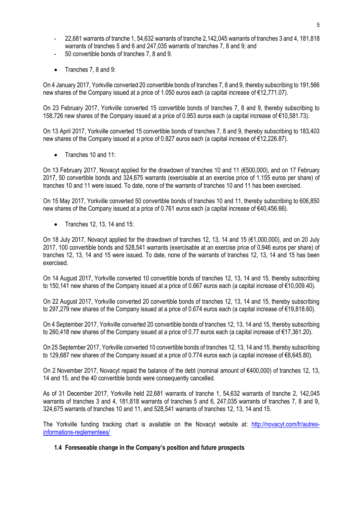- 22,681 warrants of tranche 1, 54,632 warrants of tranche 2,142,045 warrants of tranches 3 and 4, 181,818 warrants of tranches 5 and 6 and 247,035 warrants of tranches 7, 8 and 9; and
- 50 convertible bonds of tranches 7, 8 and 9.
- Tranches 7, 8 and 9:

On 4 January 2017, Yorkville converted 20 convertible bonds of tranches 7, 8 and 9, thereby subscribing to 191,566 new shares of the Company issued at a price of 1.050 euros each (a capital increase of €12,771.07).

On 23 February 2017, Yorkville converted 15 convertible bonds of tranches 7, 8 and 9, thereby subscribing to 158,726 new shares of the Company issued at a price of 0.953 euros each (a capital increase of €10,581.73).

On 13 April 2017, Yorkville converted 15 convertible bonds of tranches 7, 8 and 9, thereby subscribing to 183,403 new shares of the Company issued at a price of 0.827 euros each (a capital increase of €12,226.87).

• Tranches 10 and 11:

On 13 February 2017, Novacyt applied for the drawdown of tranches 10 and 11 (€500,000), and on 17 February 2017, 50 convertible bonds and 324,675 warrants (exercisable at an exercise price of 1.155 euros per share) of tranches 10 and 11 were issued. To date, none of the warrants of tranches 10 and 11 has been exercised.

On 15 May 2017, Yorkville converted 50 convertible bonds of tranches 10 and 11, thereby subscribing to 606,850 new shares of the Company issued at a price of 0.761 euros each (a capital increase of €40,456.66).

 $\bullet$  Tranches 12, 13, 14 and 15:

On 18 July 2017, Novacyt applied for the drawdown of tranches 12, 13, 14 and 15 (€1,000,000), and on 20 July 2017, 100 convertible bonds and 528,541 warrants (exercisable at an exercise price of 0.946 euros per share) of tranches 12, 13, 14 and 15 were issued. To date, none of the warrants of tranches 12, 13, 14 and 15 has been exercised.

On 14 August 2017, Yorkville converted 10 convertible bonds of tranches 12, 13, 14 and 15, thereby subscribing to 150,141 new shares of the Company issued at a price of 0.667 euros each (a capital increase of €10,009.40).

On 22 August 2017, Yorkville converted 20 convertible bonds of tranches 12, 13, 14 and 15, thereby subscribing to 297,279 new shares of the Company issued at a price of 0.674 euros each (a capital increase of €19,818.60).

On 4 September 2017, Yorkville converted 20 convertible bonds of tranches 12, 13, 14 and 15, thereby subscribing to 260,418 new shares of the Company issued at a price of 0.77 euros each (a capital increase of €17,361.20).

On 25 September 2017, Yorkville converted 10 convertible bonds of tranches 12, 13, 14 and 15, thereby subscribing to 129,687 new shares of the Company issued at a price of 0.774 euros each (a capital increase of €8,645.80).

On 2 November 2017, Novacyt repaid the balance of the debt (nominal amount of €400,000) of tranches 12, 13, 14 and 15, and the 40 convertible bonds were consequently cancelled.

As of 31 December 2017, Yorkville held 22,681 warrants of tranche 1, 54,632 warrants of tranche 2, 142,045 warrants of tranches 3 and 4, 181,818 warrants of tranches 5 and 6, 247,035 warrants of tranches 7, 8 and 9, 324,675 warrants of tranches 10 and 11, and 528,541 warrants of tranches 12, 13, 14 and 15.

The Yorkville funding tracking chart is available on the Novacyt website at: [http://novacyt.com/fr/autres](http://novacyt.com/fr/autres-informations-reglementees/)[informations-reglementees/](http://novacyt.com/fr/autres-informations-reglementees/)

# **1.4 Foreseeable change in the Company's position and future prospects**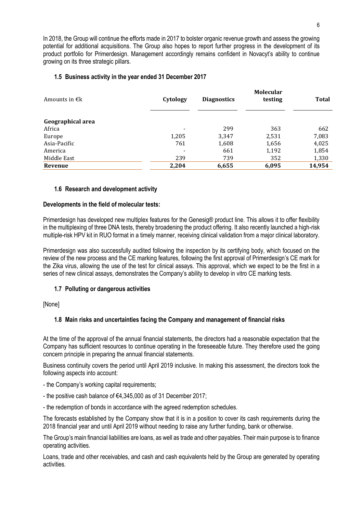In 2018, the Group will continue the efforts made in 2017 to bolster organic revenue growth and assess the growing potential for additional acquisitions. The Group also hopes to report further progress in the development of its product portfolio for Primerdesign. Management accordingly remains confident in Novacyt's ability to continue growing on its three strategic pillars.

#### **1.5 Business activity in the year ended 31 December 2017**

| Amounts in $\epsilon$ <sub>k</sub> | Cytology                 | <b>Diagnostics</b> | <b>Molecular</b><br>testing | <b>Total</b> |
|------------------------------------|--------------------------|--------------------|-----------------------------|--------------|
| Geographical area                  |                          |                    |                             |              |
| Africa                             | $\overline{\phantom{a}}$ | 299                | 363                         | 662          |
| Europe                             | 1,205                    | 3,347              | 2,531                       | 7,083        |
| Asia-Pacific                       | 761                      | 1,608              | 1,656                       | 4,025        |
| America                            | $\overline{\phantom{a}}$ | 661                | 1,192                       | 1,854        |
| Middle East                        | 239                      | 739                | 352                         | 1,330        |
| Revenue                            | 2,204                    | 6,655              | 6,095                       | 14,954       |

#### **1.6 Research and development activity**

#### **Developments in the field of molecular tests:**

Primerdesign has developed new multiplex features for the Genesig® product line. This allows it to offer flexibility in the multiplexing of three DNA tests, thereby broadening the product offering. It also recently launched a high-risk multiple-risk HPV kit in RUO format in a timely manner, receiving clinical validation from a major clinical laboratory.

Primerdesign was also successfully audited following the inspection by its certifying body, which focused on the review of the new process and the CE marking features, following the first approval of Primerdesign's CE mark for the Zika virus, allowing the use of the test for clinical assays. This approval, which we expect to be the first in a series of new clinical assays, demonstrates the Company's ability to develop in vitro CE marking tests.

# **1.7 Polluting or dangerous activities**

[None]

# **1.8 Main risks and uncertainties facing the Company and management of financial risks**

At the time of the approval of the annual financial statements, the directors had a reasonable expectation that the Company has sufficient resources to continue operating in the foreseeable future. They therefore used the going concern principle in preparing the annual financial statements.

Business continuity covers the period until April 2019 inclusive. In making this assessment, the directors took the following aspects into account:

- the Company's working capital requirements;
- the positive cash balance of €4,345,000 as of 31 December 2017;
- the redemption of bonds in accordance with the agreed redemption schedules.

The forecasts established by the Company show that it is in a position to cover its cash requirements during the 2018 financial year and until April 2019 without needing to raise any further funding, bank or otherwise.

The Group's main financial liabilities are loans, as well as trade and other payables. Their main purpose is to finance operating activities.

Loans, trade and other receivables, and cash and cash equivalents held by the Group are generated by operating activities.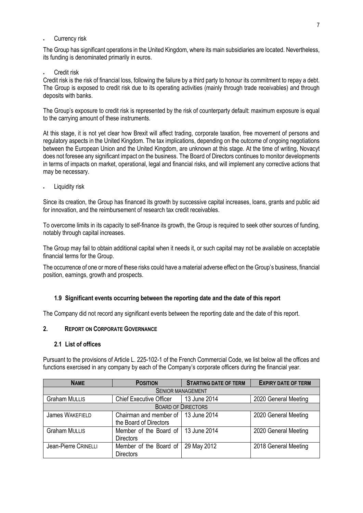Currency risk

The Group has significant operations in the United Kingdom, where its main subsidiaries are located. Nevertheless, its funding is denominated primarily in euros.

# Credit risk

Credit risk is the risk of financial loss, following the failure by a third party to honour its commitment to repay a debt. The Group is exposed to credit risk due to its operating activities (mainly through trade receivables) and through deposits with banks.

The Group's exposure to credit risk is represented by the risk of counterparty default: maximum exposure is equal to the carrying amount of these instruments.

At this stage, it is not yet clear how Brexit will affect trading, corporate taxation, free movement of persons and regulatory aspects in the United Kingdom. The tax implications, depending on the outcome of ongoing negotiations between the European Union and the United Kingdom, are unknown at this stage. At the time of writing, Novacyt does not foresee any significant impact on the business. The Board of Directors continues to monitor developments in terms of impacts on market, operational, legal and financial risks, and will implement any corrective actions that may be necessary.

Liquidity risk

Since its creation, the Group has financed its growth by successive capital increases, loans, grants and public aid for innovation, and the reimbursement of research tax credit receivables.

To overcome limits in its capacity to self-finance its growth, the Group is required to seek other sources of funding, notably through capital increases.

The Group may fail to obtain additional capital when it needs it, or such capital may not be available on acceptable financial terms for the Group.

The occurrence of one or more of these risks could have a material adverse effect on the Group's business, financial position, earnings, growth and prospects.

# **1.9 Significant events occurring between the reporting date and the date of this report**

The Company did not record any significant events between the reporting date and the date of this report.

#### **2. REPORT ON CORPORATE GOVERNANCE**

## **2.1 List of offices**

Pursuant to the provisions of Article L. 225-102-1 of the French Commercial Code, we list below all the offices and functions exercised in any company by each of the Company's corporate officers during the financial year.

| <b>NAME</b>              | <b>POSITION</b>                                                | <b>STARTING DATE OF TERM</b> | <b>EXPIRY DATE OF TERM</b> |  |  |
|--------------------------|----------------------------------------------------------------|------------------------------|----------------------------|--|--|
| <b>SENIOR MANAGEMENT</b> |                                                                |                              |                            |  |  |
| <b>Graham MULLIS</b>     | <b>Chief Executive Officer</b>                                 | 13 June 2014                 | 2020 General Meeting       |  |  |
|                          |                                                                | <b>BOARD OF DIRECTORS</b>    |                            |  |  |
| <b>James WAKEFIELD</b>   | Chairman and member of 113 June 2014<br>the Board of Directors |                              | 2020 General Meeting       |  |  |
| <b>Graham MULLIS</b>     | Member of the Board of   13 June 2014<br><b>Directors</b>      |                              | 2020 General Meeting       |  |  |
| Jean-Pierre CRINELLI     | Member of the Board of<br><b>Directors</b>                     | 29 May 2012                  | 2018 General Meeting       |  |  |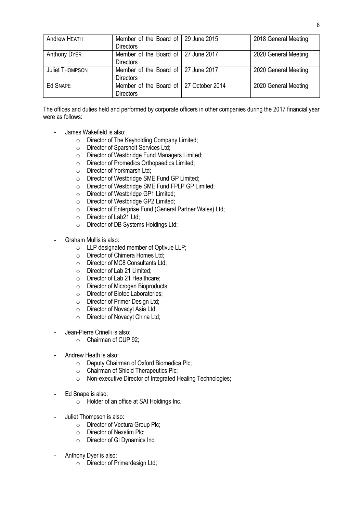| Andrew HEATH           | Member of the Board of   29 June 2015<br><b>Directors</b>    | 2018 General Meeting |
|------------------------|--------------------------------------------------------------|----------------------|
| <b>Anthony DYER</b>    | Member of the Board of 27 June 2017<br><b>Directors</b>      | 2020 General Meeting |
| <b>Juliet THOMPSON</b> | Member of the Board of 27 June 2017<br><b>Directors</b>      | 2020 General Meeting |
| Ed SNAPE               | Member of the Board of   27 October 2014<br><b>Directors</b> | 2020 General Meeting |

The offices and duties held and performed by corporate officers in other companies during the 2017 financial year were as follows:

- James Wakefield is also:
	- o Director of The Keyholding Company Limited;
	- o Director of Sparsholt Services Ltd;
	- o Director of Westbridge Fund Managers Limited;
	- o Director of Promedics Orthopaedics Limited;
	- o Director of Yorkmarsh Ltd;
	- o Director of Westbridge SME Fund GP Limited;
	- o Director of Westbridge SME Fund FPLP GP Limited;
	- o Director of Westbridge GP1 Limited;
	- o Director of Westbridge GP2 Limited;
	- o Director of Enterprise Fund (General Partner Wales) Ltd;
	- o Director of Lab21 Ltd;
	- o Director of DB Systems Holdings Ltd;
- Graham Mullis is also:
	- o LLP designated member of Optivue LLP;
	- o Director of Chimera Homes Ltd;
	- o Director of MC8 Consultants Ltd;
	- o Director of Lab 21 Limited;
	- o Director of Lab 21 Healthcare;
	- o Director of Microgen Bioproducts;
	- o Director of Biotec Laboratories;
	- o Director of Primer Design Ltd;
	- o Director of Novacyt Asia Ltd;
	- o Director of Novacyt China Ltd;
- Jean-Pierre Crinelli is also:
	- o Chairman of CUP 92;
- Andrew Heath is also:
	- o Deputy Chairman of Oxford Biomedica Plc;
	- o Chairman of Shield Therapeutics Plc;
	- o Non-executive Director of Integrated Healing Technologies;
- Ed Snape is also:
	- o Holder of an office at SAI Holdings Inc.
- Juliet Thompson is also:
	- o Director of Vectura Group Plc;
	- o Director of Nexstim Plc;
	- o Director of GI Dynamics Inc.
- Anthony Dyer is also:
	- o Director of Primerdesign Ltd;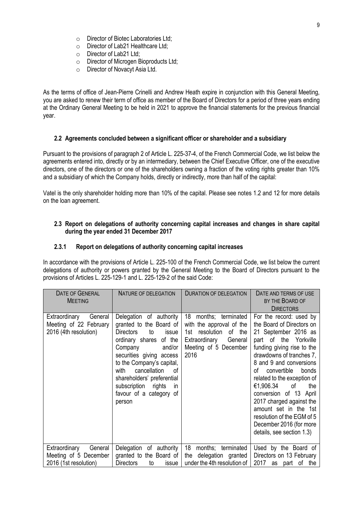- o Director of Biotec Laboratories Ltd;
- o Director of Lab21 Healthcare Ltd;
- o Director of Lab21 Ltd;
- o Director of Microgen Bioproducts Ltd;
- o Director of Novacyt Asia Ltd.

As the terms of office of Jean-Pierre Crinelli and Andrew Heath expire in conjunction with this General Meeting, you are asked to renew their term of office as member of the Board of Directors for a period of three years ending at the Ordinary General Meeting to be held in 2021 to approve the financial statements for the previous financial year.

#### **2.2 Agreements concluded between a significant officer or shareholder and a subsidiary**

Pursuant to the provisions of paragraph 2 of Article L. 225-37-4, of the French Commercial Code, we list below the agreements entered into, directly or by an intermediary, between the Chief Executive Officer, one of the executive directors, one of the directors or one of the shareholders owning a fraction of the voting rights greater than 10% and a subsidiary of which the Company holds, directly or indirectly, more than half of the capital:

Vatel is the only shareholder holding more than 10% of the capital. Please see notes 1.2 and 12 for more details on the loan agreement.

#### **2.3 Report on delegations of authority concerning capital increases and changes in share capital during the year ended 31 December 2017**

#### **2.3.1 Report on delegations of authority concerning capital increases**

In accordance with the provisions of Article L. 225-100 of the French Commercial Code, we list below the current delegations of authority or powers granted by the General Meeting to the Board of Directors pursuant to the provisions of Articles L. 225-129-1 and L. 225-129-2 of the said Code:

| DATE OF GENERAL<br><b>MEETING</b>                                           | NATURE OF DELEGATION                                                                                                                                                                                                                                                                                                         | <b>DURATION OF DELEGATION</b>                                                                                                              | DATE AND TERMS OF USE<br>BY THE BOARD OF<br><b>DIRECTORS</b>                                                                                                                                                                                                                                                                                                                                                                                           |
|-----------------------------------------------------------------------------|------------------------------------------------------------------------------------------------------------------------------------------------------------------------------------------------------------------------------------------------------------------------------------------------------------------------------|--------------------------------------------------------------------------------------------------------------------------------------------|--------------------------------------------------------------------------------------------------------------------------------------------------------------------------------------------------------------------------------------------------------------------------------------------------------------------------------------------------------------------------------------------------------------------------------------------------------|
| Extraordinary<br>General<br>Meeting of 22 February<br>2016 (4th resolution) | Delegation of authority<br>granted to the Board of<br><b>Directors</b><br>to<br>issue<br>ordinary shares of the<br>and/or<br>Company<br>securities giving access<br>to the Company's capital,<br>cancellation<br>with<br>οf<br>shareholders' preferential<br>subscription rights<br>in.<br>favour of a category of<br>person | 18 months; terminated<br>with the approval of the<br>1st resolution<br>of the<br>Extraordinary<br>General<br>Meeting of 5 December<br>2016 | For the record: used by<br>the Board of Directors on<br>21 September 2016 as<br>part of the Yorkville<br>funding giving rise to the<br>drawdowns of tranches 7,<br>8 and 9 and conversions<br>convertible<br>of<br>bonds<br>related to the exception of<br>€1,906.34<br>of<br>the<br>conversion of 13 April<br>2017 charged against the<br>amount set in the 1st<br>resolution of the EGM of 5<br>December 2016 (for more<br>details, see section 1.3) |
| Extraordinary<br>General<br>Meeting of 5 December<br>2016 (1st resolution)  | Delegation of authority<br>granted to the Board of<br><b>Directors</b><br>to<br>issue                                                                                                                                                                                                                                        | 18<br>months; terminated<br>delegation granted<br>the<br>under the 4th resolution of                                                       | Used by the Board of<br>Directors on 13 February<br>2017 as part of the                                                                                                                                                                                                                                                                                                                                                                                |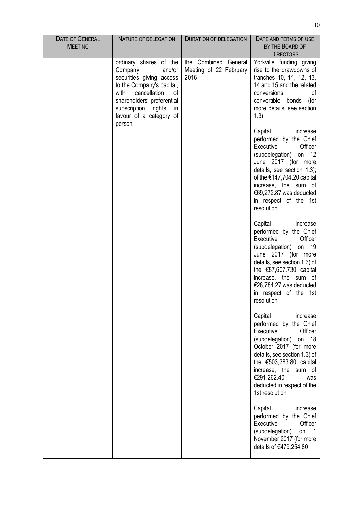| <b>DATE OF GENERAL</b><br><b>MEETING</b> | NATURE OF DELEGATION                                                                                                                                                                                                                  | DURATION OF DELEGATION                                 | DATE AND TERMS OF USE<br>BY THE BOARD OF<br><b>DIRECTORS</b>                                                                                                                                                                                                                                |
|------------------------------------------|---------------------------------------------------------------------------------------------------------------------------------------------------------------------------------------------------------------------------------------|--------------------------------------------------------|---------------------------------------------------------------------------------------------------------------------------------------------------------------------------------------------------------------------------------------------------------------------------------------------|
|                                          | ordinary shares of the<br>Company<br>and/or<br>securities giving access<br>to the Company's capital,<br>with<br>cancellation<br>οf<br>shareholders' preferential<br>subscription<br>rights<br>in<br>favour of a category of<br>person | the Combined General<br>Meeting of 22 February<br>2016 | Yorkville funding giving<br>rise to the drawdowns of<br>tranches 10, 11, 12, 13,<br>14 and 15 and the related<br>conversions<br>οf<br>convertible<br>bonds<br>(for<br>more details, see section<br>(1.3)                                                                                    |
|                                          |                                                                                                                                                                                                                                       |                                                        | Capital<br>increase<br>performed by the Chief<br>Executive<br>Officer<br>(subdelegation) on 12<br>June 2017 (for more<br>details, see section 1.3);<br>of the $€147,704.20$ capital<br>increase, the sum of<br>€69,272.87 was deducted<br>in respect of the 1st<br>resolution               |
|                                          |                                                                                                                                                                                                                                       |                                                        | Capital<br>increase<br>performed by the Chief<br>Executive<br>Officer<br>(subdelegation) on 19<br>June 2017 (for more<br>details, see section 1.3) of<br>the $€87,607.730$ capital<br>increase, the sum of<br>€28,784.27 was deducted<br>in respect of the 1st<br>resolution                |
|                                          |                                                                                                                                                                                                                                       |                                                        | Capital<br>increase<br>performed by the Chief<br>Executive<br>Officer<br>(subdelegation)<br>- 18<br>on<br>October 2017 (for more<br>details, see section 1.3) of<br>the $€503,383.80$ capital<br>increase, the sum of<br>€291,262.40<br>was<br>deducted in respect of the<br>1st resolution |
|                                          |                                                                                                                                                                                                                                       |                                                        | Capital<br>increase<br>performed by the Chief<br>Officer<br>Executive<br>(subdelegation)<br>on<br>$\mathbf 1$<br>November 2017 (for more<br>details of €479,254.80                                                                                                                          |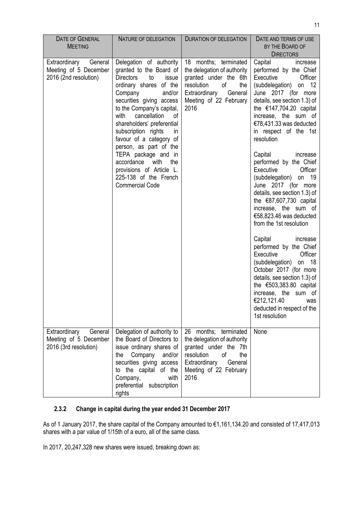| <b>DATE OF GENERAL</b><br><b>MEETING</b>                                   | NATURE OF DELEGATION                                                                                                                                                                                                                                                                                                                                                                                                                                                            | <b>DURATION OF DELEGATION</b>                                                                                                                                                     | DATE AND TERMS OF USE<br>BY THE BOARD OF<br><b>DIRECTORS</b>                                                                                                                                                                                                                                                                                                                                                                                                                                                                                                                                                                                                                                                                                                                                                                            |
|----------------------------------------------------------------------------|---------------------------------------------------------------------------------------------------------------------------------------------------------------------------------------------------------------------------------------------------------------------------------------------------------------------------------------------------------------------------------------------------------------------------------------------------------------------------------|-----------------------------------------------------------------------------------------------------------------------------------------------------------------------------------|-----------------------------------------------------------------------------------------------------------------------------------------------------------------------------------------------------------------------------------------------------------------------------------------------------------------------------------------------------------------------------------------------------------------------------------------------------------------------------------------------------------------------------------------------------------------------------------------------------------------------------------------------------------------------------------------------------------------------------------------------------------------------------------------------------------------------------------------|
| Extraordinary<br>General<br>Meeting of 5 December<br>2016 (2nd resolution) | Delegation of authority<br>granted to the Board of<br><b>Directors</b><br>to<br>issue<br>ordinary shares of the<br>Company<br>and/or<br>securities giving access<br>to the Company's capital,<br>with<br>cancellation<br>0f<br>shareholders' preferential<br>subscription rights<br>in.<br>favour of a category of<br>person, as part of the<br>TEPA package and in<br>accordance<br>with<br>the<br>provisions of Article L.<br>225-138 of the French<br><b>Commercial Code</b> | 18 months; terminated<br>the delegation of authority<br>granted under the 6th<br>the<br>resolution<br>οf<br>Extraordinary<br>General<br>Meeting of 22 February<br>2016            | Capital<br>increase<br>performed by the Chief<br>Executive<br>Officer<br>(subdelegation) on 12<br>June 2017 (for more<br>details, see section 1.3) of<br>the $€147,704.20$ capital<br>increase, the sum of<br>€78,431.33 was deducted<br>in respect of the 1st<br>resolution<br>Capital<br>increase<br>performed by the Chief<br>Executive<br>Officer<br>(subdelegation) on 19<br>June 2017 (for more<br>details, see section 1.3) of<br>the $€87,607,730$ capital<br>increase, the sum of<br>€58,823.46 was deducted<br>from the 1st resolution<br>Capital<br>increase<br>performed by the Chief<br>Executive<br>Officer<br>(subdelegation) on 18<br>October 2017 (for more<br>details, see section 1.3) of<br>the $€503,383.80$ capital<br>increase, the sum of<br>€212,121.40<br>was<br>deducted in respect of the<br>1st resolution |
| Extraordinary<br>General<br>Meeting of 5 December<br>2016 (3rd resolution) | Delegation of authority to<br>the Board of Directors to<br>issue ordinary shares of<br>Company<br>and/or<br>the<br>securities giving access<br>to the capital<br>of the<br>Company,<br>with<br>preferential subscription<br>rights                                                                                                                                                                                                                                              | 26 months; terminated<br>the delegation of authority<br>granted under the 7th<br>resolution<br><sub>of</sub><br>the<br>Extraordinary<br>General<br>Meeting of 22 February<br>2016 | None                                                                                                                                                                                                                                                                                                                                                                                                                                                                                                                                                                                                                                                                                                                                                                                                                                    |

# **2.3.2 Change in capital during the year ended 31 December 2017**

As of 1 January 2017, the share capital of the Company amounted to €1,161,134.20 and consisted of 17,417,013 shares with a par value of 1/15th of a euro, all of the same class.

In 2017, 20,247,328 new shares were issued, breaking down as: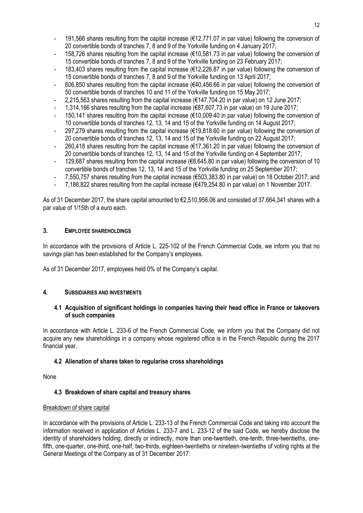- 191,566 shares resulting from the capital increase (€12,771.07 in par value) following the conversion of 20 convertible bonds of tranches 7, 8 and 9 of the Yorkville funding on 4 January 2017;
- 158,726 shares resulting from the capital increase (€10,581.73 in par value) following the conversion of 15 convertible bonds of tranches 7, 8 and 9 of the Yorkville funding on 23 February 2017;
- 183,403 shares resulting from the capital increase (€12,226.87 in par value) following the conversion of 15 convertible bonds of tranches 7, 8 and 9 of the Yorkville funding on 13 April 2017;
- 606,850 shares resulting from the capital increase (€40,456.66 in par value) following the conversion of 50 convertible bonds of tranches 10 and 11 of the Yorkville funding on 15 May 2017;
- 2,215,563 shares resulting from the capital increase (€147,704.20 in par value) on 12 June 2017;
- 1,314,166 shares resulting from the capital increase (€87,607.73 in par value) on 19 June 2017;
- 150,141 shares resulting from the capital increase (€10,009.40 in par value) following the conversion of 10 convertible bonds of tranches 12, 13, 14 and 15 of the Yorkville funding on 14 August 2017;
- 297,279 shares resulting from the capital increase (€19,818.60 in par value) following the conversion of 20 convertible bonds of tranches 12, 13, 14 and 15 of the Yorkville funding on 22 August 2017;
- $260,418$  shares resulting from the capital increase ( $\epsilon$ 17,361.20 in par value) following the conversion of 20 convertible bonds of tranches 12, 13, 14 and 15 of the Yorkville funding on 4 September 2017;
- 129,687 shares resulting from the capital increase (€8,645.80 in par value) following the conversion of 10 convertible bonds of tranches 12, 13, 14 and 15 of the Yorkville funding on 25 September 2017;
- 7,550,757 shares resulting from the capital increase (€503,383.80 in par value) on 18 October 2017; and
- 7,188,822 shares resulting from the capital increase ( $\epsilon$ 479,254.80 in par value) on 1 November 2017.

As of 31 December 2017, the share capital amounted to €2,510,956.06 and consisted of 37,664,341 shares with a par value of 1/15th of a euro each.

# **3. EMPLOYEE SHAREHOLDINGS**

In accordance with the provisions of Article L. 225-102 of the French Commercial Code, we inform you that no savings plan has been established for the Company's employees.

As of 31 December 2017, employees held 0% of the Company's capital.

# **4. SUBSIDIARIES AND INVESTMENTS**

#### **4.1 Acquisition of significant holdings in companies having their head office in France or takeovers of such companies**

In accordance with Article L. 233-6 of the French Commercial Code, we inform you that the Company did not acquire any new shareholdings in a company whose registered office is in the French Republic during the 2017 financial year.

# **4.2 Alienation of shares taken to regularise cross shareholdings**

None

# **4.3 Breakdown of share capital and treasury shares**

#### Breakdown of share capital

In accordance with the provisions of Article L. 233-13 of the French Commercial Code and taking into account the information received in application of Articles L. 233-7 and L. 233-12 of the said Code, we hereby disclose the identity of shareholders holding, directly or indirectly, more than one-twentieth, one-tenth, three-twentieths, onefifth, one-quarter, one-third, one-half, two-thirds, eighteen-twentieths or nineteen-twentieths of voting rights at the General Meetings of the Company as of 31 December 2017: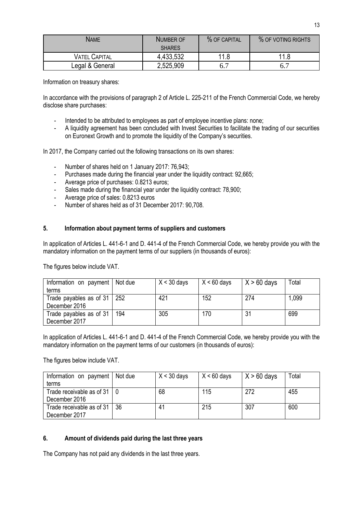| <b>NAME</b>          | NUMBER OF     | % OF CAPITAL | % OF VOTING RIGHTS |
|----------------------|---------------|--------------|--------------------|
|                      | <b>SHARES</b> |              |                    |
| <b>VATEL CAPITAL</b> | 4,433,532     | 11.8         | 11.8               |
| Legal & General      | 2,525,909     | 6.7          | 0.1                |

Information on treasury shares:

In accordance with the provisions of paragraph 2 of Article L. 225-211 of the French Commercial Code, we hereby disclose share purchases:

- Intended to be attributed to employees as part of employee incentive plans: none;
- A liquidity agreement has been concluded with Invest Securities to facilitate the trading of our securities on Euronext Growth and to promote the liquidity of the Company's securities.

In 2017, the Company carried out the following transactions on its own shares:

- Number of shares held on 1 January 2017: 76,943;
- Purchases made during the financial year under the liquidity contract: 92,665;
- Average price of purchases: 0.8213 euros;
- Sales made during the financial year under the liquidity contract: 78,900;
- Average price of sales: 0.8213 euros
- Number of shares held as of 31 December 2017: 90,708.

#### **5. Information about payment terms of suppliers and customers**

In application of Articles L. 441-6-1 and D. 441-4 of the French Commercial Code, we hereby provide you with the mandatory information on the payment terms of our suppliers (in thousands of euros):

The figures below include VAT.

| Information on payment   Not due   |     | $X < 30$ days | $X < 60$ days | $X > 60$ days | Total |
|------------------------------------|-----|---------------|---------------|---------------|-------|
| terms                              |     |               |               |               |       |
| Trade payables as of $31 \mid 252$ |     | 421           | 152           | 274           | 1,099 |
| December 2016                      |     |               |               |               |       |
| Trade payables as of 31            | 194 | 305           | 170           |               | 699   |
| December 2017                      |     |               |               |               |       |

In application of Articles L. 441-6-1 and D. 441-4 of the French Commercial Code, we hereby provide you with the mandatory information on the payment terms of our customers (in thousands of euros):

The figures below include VAT.

| Information on payment   Not due |    | $X < 30$ days | $X < 60$ days | $X > 60$ days | Total |
|----------------------------------|----|---------------|---------------|---------------|-------|
| terms                            |    |               |               |               |       |
| Trade receivable as of 31        |    | 68            | 115           | 272           | 455   |
| December 2016                    |    |               |               |               |       |
| Trade receivable as of 31        | 36 | 41            | 215           | 307           | 600   |
| December 2017                    |    |               |               |               |       |

#### **6. Amount of dividends paid during the last three years**

The Company has not paid any dividends in the last three years.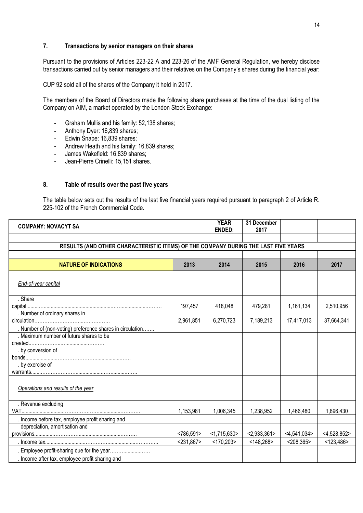## **7. Transactions by senior managers on their shares**

Pursuant to the provisions of Articles 223-22 A and 223-26 of the AMF General Regulation, we hereby disclose transactions carried out by senior managers and their relatives on the Company's shares during the financial year:

CUP 92 sold all of the shares of the Company it held in 2017.

The members of the Board of Directors made the following share purchases at the time of the dual listing of the Company on AIM, a market operated by the London Stock Exchange:

- Graham Mullis and his family: 52,138 shares;
- Anthony Dyer: 16,839 shares;
- Edwin Snape: 16,839 shares;
- Andrew Heath and his family: 16,839 shares;
- James Wakefield: 16,839 shares;
- Jean-Pierre Crinelli: 15,151 shares.

#### **8. Table of results over the past five years**

The table below sets out the results of the last five financial years required pursuant to paragraph 2 of Article R. 225-102 of the French Commercial Code.

| <b>COMPANY: NOVACYT SA</b>                                                         |              | <b>YEAR</b><br><b>ENDED:</b> | 31 December<br>2017 |                |                |
|------------------------------------------------------------------------------------|--------------|------------------------------|---------------------|----------------|----------------|
|                                                                                    |              |                              |                     |                |                |
| RESULTS (AND OTHER CHARACTERISTIC ITEMS) OF THE COMPANY DURING THE LAST FIVE YEARS |              |                              |                     |                |                |
|                                                                                    |              |                              |                     |                |                |
| <b>NATURE OF INDICATIONS</b>                                                       | 2013         | 2014                         | 2015                | 2016           | 2017           |
|                                                                                    |              |                              |                     |                |                |
| End-of-year capital                                                                |              |                              |                     |                |                |
|                                                                                    |              |                              |                     |                |                |
| . Share                                                                            |              |                              |                     |                |                |
|                                                                                    | 197,457      | 418,048                      | 479,281             | 1,161,134      | 2,510,956      |
| . Number of ordinary shares in                                                     |              |                              |                     |                |                |
|                                                                                    | 2,961,851    | 6,270,723                    | 7,189,213           | 17,417,013     | 37,664,341     |
| . Number of (non-voting) preference shares in circulation                          |              |                              |                     |                |                |
| Maximum number of future shares to be                                              |              |                              |                     |                |                |
|                                                                                    |              |                              |                     |                |                |
| . by conversion of                                                                 |              |                              |                     |                |                |
|                                                                                    |              |                              |                     |                |                |
| . by exercise of                                                                   |              |                              |                     |                |                |
|                                                                                    |              |                              |                     |                |                |
|                                                                                    |              |                              |                     |                |                |
| Operations and results of the year                                                 |              |                              |                     |                |                |
|                                                                                    |              |                              |                     |                |                |
| . Revenue excluding                                                                |              |                              |                     |                |                |
|                                                                                    | 1,153,981    | 1,006,345                    | 1,238,952           | 1,466,480      | 1,896,430      |
| . Income before tax, employee profit sharing and                                   |              |                              |                     |                |                |
| depreciation, amortisation and                                                     |              |                              |                     |                |                |
|                                                                                    | < 786,591    | <1,715,630>                  | < 2,933,361         | $<$ 4,541,034> | $<$ 4,528,852> |
|                                                                                    | $<$ 231,867> | $<$ 170,203>                 | $<$ 148,268>        | $<$ 208,365>   | < 123,486      |
| . Employee profit-sharing due for the year                                         |              |                              |                     |                |                |
| . Income after tax, employee profit sharing and                                    |              |                              |                     |                |                |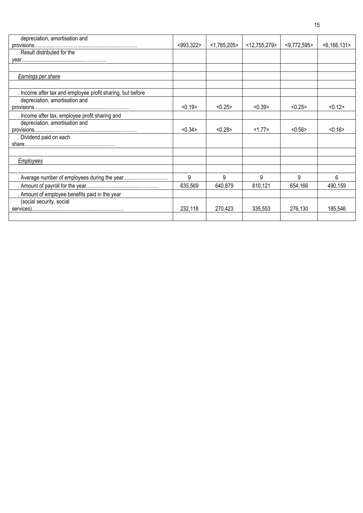| depreciation, amortisation and                             |              |                |                 |                |                |
|------------------------------------------------------------|--------------|----------------|-----------------|----------------|----------------|
|                                                            | $<$ 993,322> | $<$ 1,765,205> | $<$ 12,755,279> | $<$ 9,772,595> | $<$ 6,166,131> |
| . Result distributed for the                               |              |                |                 |                |                |
|                                                            |              |                |                 |                |                |
|                                                            |              |                |                 |                |                |
| Earnings per share                                         |              |                |                 |                |                |
|                                                            |              |                |                 |                |                |
| . Income after tax and employee profit sharing, but before |              |                |                 |                |                |
| depreciation, amortisation and                             |              |                |                 |                |                |
|                                                            | < 0.19       | < 0.25         | < 0.39          | < 0.25         | < 0.12         |
| . Income after tax, employee profit sharing and            |              |                |                 |                |                |
| depreciation, amortisation and                             |              |                |                 |                |                |
|                                                            | < 0.34       | < 0.28         | 1,77>           | < 0.56         | < 0.16         |
| . Dividend paid on each                                    |              |                |                 |                |                |
|                                                            |              |                |                 |                |                |
|                                                            |              |                |                 |                |                |
| <b>Employees</b>                                           |              |                |                 |                |                |
|                                                            |              |                |                 |                |                |
| . Average number of employees during the year              | 9            | 9              | 9               | 9              | 6              |
|                                                            | 635,569      | 640,879        | 810,121         | 654,166        | 490,159        |
| . Amount of employee benefits paid in the year             |              |                |                 |                |                |
| (social security, social                                   |              |                |                 |                |                |
|                                                            | 232,118      | 270,423        | 335,553         | 276,130        | 185,546        |
|                                                            |              |                |                 |                |                |
|                                                            |              |                |                 |                |                |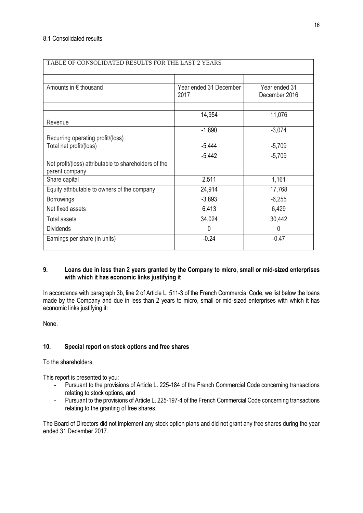| TABLE OF CONSOLIDATED RESULTS FOR THE LAST 2 YEARS                      |                                |                                |  |
|-------------------------------------------------------------------------|--------------------------------|--------------------------------|--|
|                                                                         |                                |                                |  |
| Amounts in € thousand                                                   | Year ended 31 December<br>2017 | Year ended 31<br>December 2016 |  |
|                                                                         |                                |                                |  |
| Revenue                                                                 | 14,954                         | 11,076                         |  |
| Recurring operating profit/(loss)                                       | $-1,890$                       | $-3,074$                       |  |
| Total net profit/(loss)                                                 | $-5,444$                       | $-5,709$                       |  |
| Net profit/(loss) attributable to shareholders of the<br>parent company | $-5,442$                       | $-5,709$                       |  |
| Share capital                                                           | 2,511                          | 1,161                          |  |
| Equity attributable to owners of the company                            | 24,914                         | 17,768                         |  |
| <b>Borrowings</b>                                                       | $-3,893$                       | $-6,255$                       |  |
| Net fixed assets                                                        | 6,413                          | 6,429                          |  |
| Total assets                                                            | 34,024                         | 30,442                         |  |
| <b>Dividends</b>                                                        | $\Omega$                       | 0                              |  |
| Earnings per share (in units)                                           | $-0.24$                        | $-0.47$                        |  |

#### **9. Loans due in less than 2 years granted by the Company to micro, small or mid-sized enterprises with which it has economic links justifying it**

In accordance with paragraph 3b, line 2 of Article L. 511-3 of the French Commercial Code, we list below the loans made by the Company and due in less than 2 years to micro, small or mid-sized enterprises with which it has economic links justifying it:

None.

# **10. Special report on stock options and free shares**

To the shareholders,

This report is presented to you:

- Pursuant to the provisions of Article L. 225-184 of the French Commercial Code concerning transactions relating to stock options, and
- Pursuant to the provisions of Article L. 225-197-4 of the French Commercial Code concerning transactions relating to the granting of free shares.

The Board of Directors did not implement any stock option plans and did not grant any free shares during the year ended 31 December 2017.